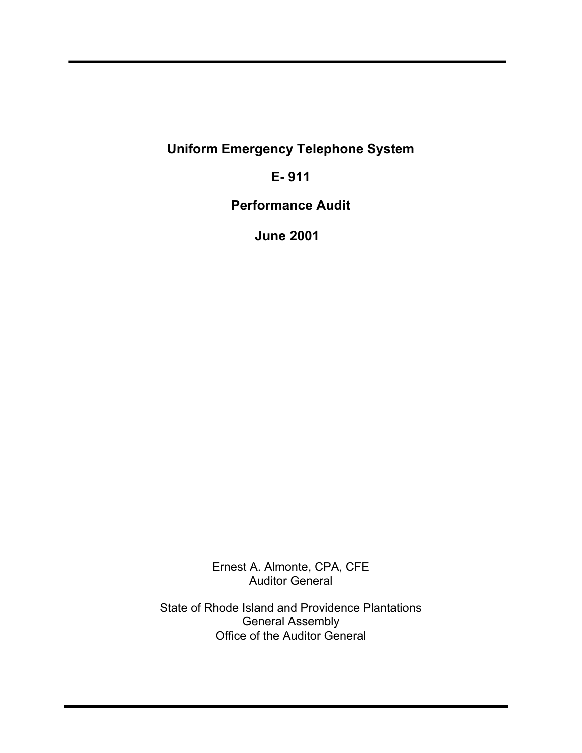**Uniform Emergency Telephone System**

**E- 911**

**Performance Audit**

**June 2001**

Ernest A. Almonte, CPA, CFE Auditor General

State of Rhode Island and Providence Plantations General Assembly Office of the Auditor General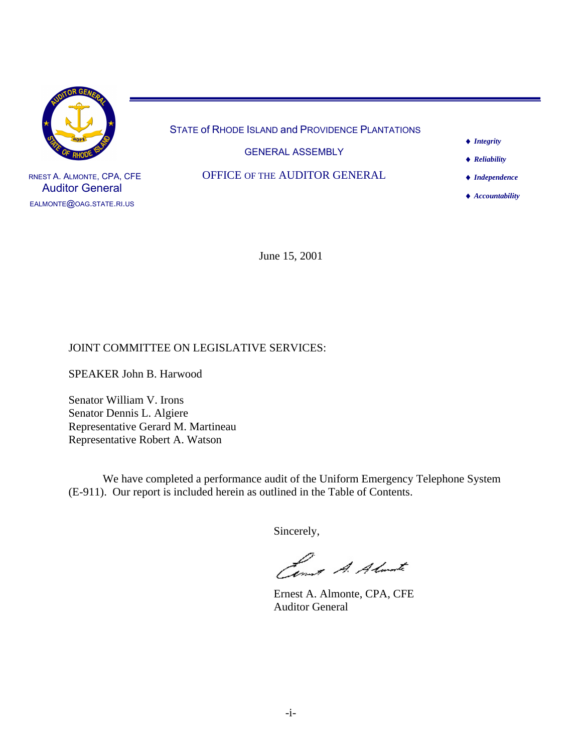

RNEST A. ALMONTE, CPA, CFE Auditor General EALMONTE@OAG.STATE.RI.US

STATE of RHODE ISLAND and PROVIDENCE PLANTATIONS

GENERAL ASSEMBLY

OFFICE OF THE AUDITOR GENERAL

 *Integrity*

 *Reliability*

 *Independence*

 *Accountability*

June 15, 2001

#### JOINT COMMITTEE ON LEGISLATIVE SERVICES:

SPEAKER John B. Harwood

Senator William V. Irons Senator Dennis L. Algiere Representative Gerard M. Martineau Representative Robert A. Watson

We have completed a performance audit of the Uniform Emergency Telephone System (E-911). Our report is included herein as outlined in the Table of Contents.

Sincerely,

Lemot A. Almarte

Ernest A. Almonte, CPA, CFE Auditor General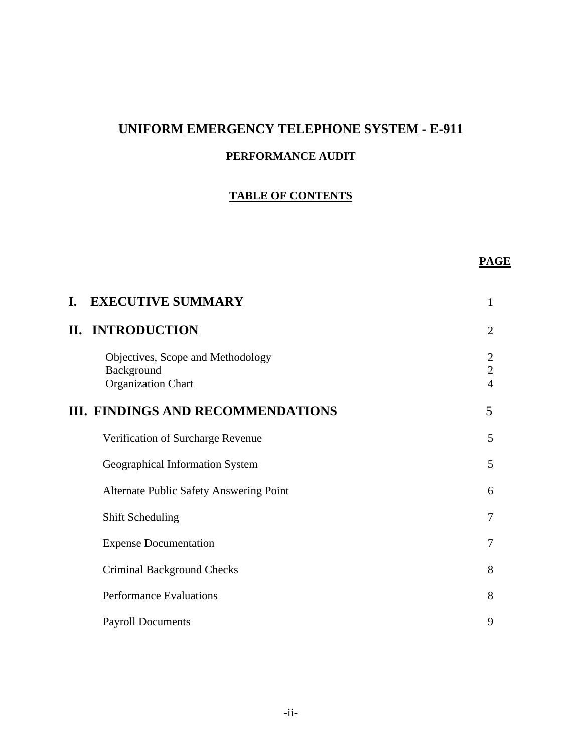# **UNIFORM EMERGENCY TELEPHONE SYSTEM - E-911**

# **PERFORMANCE AUDIT**

# **TABLE OF CONTENTS**

## **PAGE**

| I. | <b>EXECUTIVE SUMMARY</b>                                                     | 1                                                  |
|----|------------------------------------------------------------------------------|----------------------------------------------------|
|    | <b>II. INTRODUCTION</b>                                                      | $\overline{2}$                                     |
|    | Objectives, Scope and Methodology<br>Background<br><b>Organization Chart</b> | $\overline{2}$<br>$\overline{2}$<br>$\overline{4}$ |
|    | <b>III. FINDINGS AND RECOMMENDATIONS</b>                                     | 5                                                  |
|    | Verification of Surcharge Revenue                                            | 5                                                  |
|    | Geographical Information System                                              | 5                                                  |
|    | <b>Alternate Public Safety Answering Point</b>                               | 6                                                  |
|    | <b>Shift Scheduling</b>                                                      | 7                                                  |
|    | <b>Expense Documentation</b>                                                 | 7                                                  |
|    | <b>Criminal Background Checks</b>                                            | 8                                                  |
|    | <b>Performance Evaluations</b>                                               | 8                                                  |
|    | <b>Payroll Documents</b>                                                     | 9                                                  |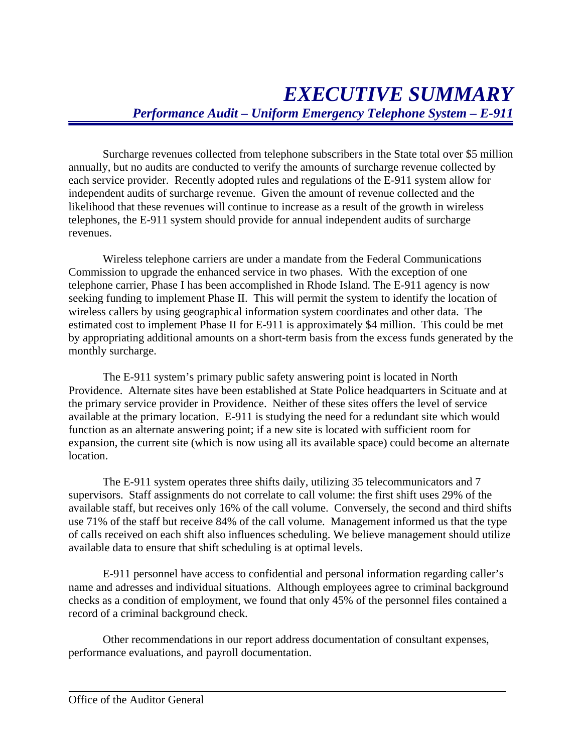Surcharge revenues collected from telephone subscribers in the State total over \$5 million annually, but no audits are conducted to verify the amounts of surcharge revenue collected by each service provider. Recently adopted rules and regulations of the E-911 system allow for independent audits of surcharge revenue. Given the amount of revenue collected and the likelihood that these revenues will continue to increase as a result of the growth in wireless telephones, the E-911 system should provide for annual independent audits of surcharge revenues.

Wireless telephone carriers are under a mandate from the Federal Communications Commission to upgrade the enhanced service in two phases. With the exception of one telephone carrier, Phase I has been accomplished in Rhode Island. The E-911 agency is now seeking funding to implement Phase II. This will permit the system to identify the location of wireless callers by using geographical information system coordinates and other data. The estimated cost to implement Phase II for E-911 is approximately \$4 million. This could be met by appropriating additional amounts on a short-term basis from the excess funds generated by the monthly surcharge.

The E-911 system's primary public safety answering point is located in North Providence. Alternate sites have been established at State Police headquarters in Scituate and at the primary service provider in Providence. Neither of these sites offers the level of service available at the primary location. E-911 is studying the need for a redundant site which would function as an alternate answering point; if a new site is located with sufficient room for expansion, the current site (which is now using all its available space) could become an alternate location.

The E-911 system operates three shifts daily, utilizing 35 telecommunicators and 7 supervisors. Staff assignments do not correlate to call volume: the first shift uses 29% of the available staff, but receives only 16% of the call volume. Conversely, the second and third shifts use 71% of the staff but receive 84% of the call volume. Management informed us that the type of calls received on each shift also influences scheduling. We believe management should utilize available data to ensure that shift scheduling is at optimal levels.

E-911 personnel have access to confidential and personal information regarding caller's name and adresses and individual situations. Although employees agree to criminal background checks as a condition of employment, we found that only 45% of the personnel files contained a record of a criminal background check.

Other recommendations in our report address documentation of consultant expenses, performance evaluations, and payroll documentation.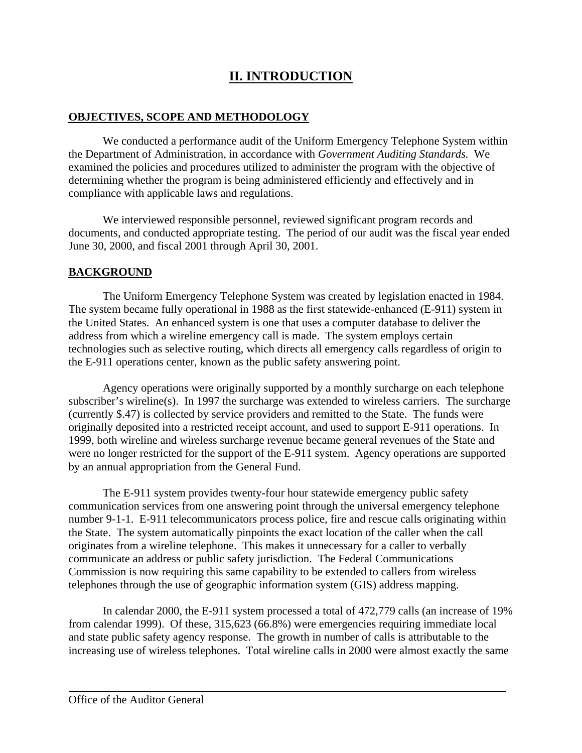# **II. INTRODUCTION**

#### **OBJECTIVES, SCOPE AND METHODOLOGY**

We conducted a performance audit of the Uniform Emergency Telephone System within the Department of Administration, in accordance with *Government Auditing Standards.* We examined the policies and procedures utilized to administer the program with the objective of determining whether the program is being administered efficiently and effectively and in compliance with applicable laws and regulations.

We interviewed responsible personnel, reviewed significant program records and documents, and conducted appropriate testing. The period of our audit was the fiscal year ended June 30, 2000, and fiscal 2001 through April 30, 2001.

## **BACKGROUND**

The Uniform Emergency Telephone System was created by legislation enacted in 1984. The system became fully operational in 1988 as the first statewide-enhanced (E-911) system in the United States. An enhanced system is one that uses a computer database to deliver the address from which a wireline emergency call is made. The system employs certain technologies such as selective routing, which directs all emergency calls regardless of origin to the E-911 operations center, known as the public safety answering point.

Agency operations were originally supported by a monthly surcharge on each telephone subscriber's wireline(s). In 1997 the surcharge was extended to wireless carriers. The surcharge (currently \$.47) is collected by service providers and remitted to the State. The funds were originally deposited into a restricted receipt account, and used to support E-911 operations. In 1999, both wireline and wireless surcharge revenue became general revenues of the State and were no longer restricted for the support of the E-911 system. Agency operations are supported by an annual appropriation from the General Fund.

The E-911 system provides twenty-four hour statewide emergency public safety communication services from one answering point through the universal emergency telephone number 9-1-1. E-911 telecommunicators process police, fire and rescue calls originating within the State. The system automatically pinpoints the exact location of the caller when the call originates from a wireline telephone. This makes it unnecessary for a caller to verbally communicate an address or public safety jurisdiction. The Federal Communications Commission is now requiring this same capability to be extended to callers from wireless telephones through the use of geographic information system (GIS) address mapping.

In calendar 2000, the E-911 system processed a total of 472,779 calls (an increase of 19% from calendar 1999). Of these, 315,623 (66.8%) were emergencies requiring immediate local and state public safety agency response. The growth in number of calls is attributable to the increasing use of wireless telephones. Total wireline calls in 2000 were almost exactly the same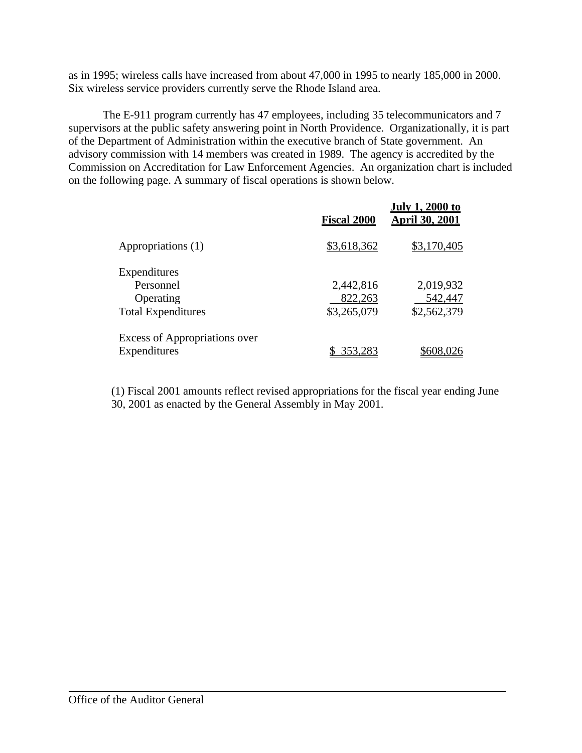as in 1995; wireless calls have increased from about 47,000 in 1995 to nearly 185,000 in 2000. Six wireless service providers currently serve the Rhode Island area.

The E-911 program currently has 47 employees, including 35 telecommunicators and 7 supervisors at the public safety answering point in North Providence. Organizationally, it is part of the Department of Administration within the executive branch of State government. An advisory commission with 14 members was created in 1989. The agency is accredited by the Commission on Accreditation for Law Enforcement Agencies. An organization chart is included on the following page. A summary of fiscal operations is shown below.

|                                      | <b>Fiscal 2000</b> | <b>July 1, 2000 to</b><br><b>April 30, 2001</b> |
|--------------------------------------|--------------------|-------------------------------------------------|
| Appropriations (1)                   | \$3,618,362        | \$3,170,405                                     |
| Expenditures                         |                    |                                                 |
| Personnel                            | 2,442,816          | 2,019,932                                       |
| Operating                            | 822,263            | 542,447                                         |
| <b>Total Expenditures</b>            | \$3,265,079        | \$2,562,379                                     |
| <b>Excess of Appropriations over</b> |                    |                                                 |
| Expenditures                         | \$353,283          | \$608,026                                       |

(1) Fiscal 2001 amounts reflect revised appropriations for the fiscal year ending June 30, 2001 as enacted by the General Assembly in May 2001.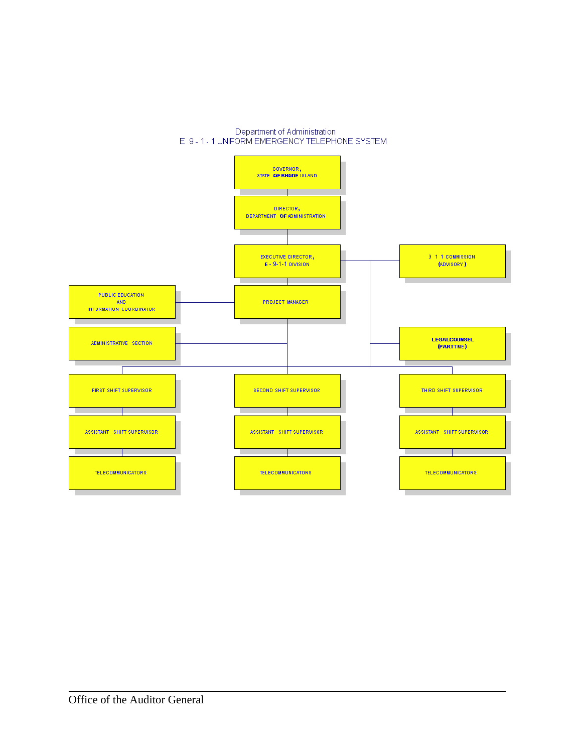

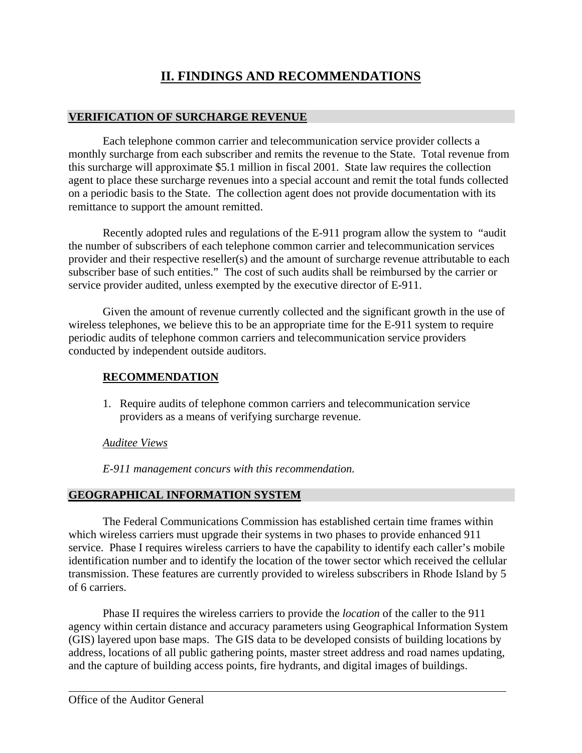# **II. FINDINGS AND RECOMMENDATIONS**

## **VERIFICATION OF SURCHARGE REVENUE**

Each telephone common carrier and telecommunication service provider collects a monthly surcharge from each subscriber and remits the revenue to the State. Total revenue from this surcharge will approximate \$5.1 million in fiscal 2001. State law requires the collection agent to place these surcharge revenues into a special account and remit the total funds collected on a periodic basis to the State. The collection agent does not provide documentation with its remittance to support the amount remitted.

Recently adopted rules and regulations of the E-911 program allow the system to "audit the number of subscribers of each telephone common carrier and telecommunication services provider and their respective reseller(s) and the amount of surcharge revenue attributable to each subscriber base of such entities." The cost of such audits shall be reimbursed by the carrier or service provider audited, unless exempted by the executive director of E-911.

Given the amount of revenue currently collected and the significant growth in the use of wireless telephones, we believe this to be an appropriate time for the E-911 system to require periodic audits of telephone common carriers and telecommunication service providers conducted by independent outside auditors.

#### **RECOMMENDATION**

1. Require audits of telephone common carriers and telecommunication service providers as a means of verifying surcharge revenue.

#### *Auditee Views*

*E-911 management concurs with this recommendation.*

## **GEOGRAPHICAL INFORMATION SYSTEM**

The Federal Communications Commission has established certain time frames within which wireless carriers must upgrade their systems in two phases to provide enhanced 911 service. Phase I requires wireless carriers to have the capability to identify each caller's mobile identification number and to identify the location of the tower sector which received the cellular transmission. These features are currently provided to wireless subscribers in Rhode Island by 5 of 6 carriers.

Phase II requires the wireless carriers to provide the *location* of the caller to the 911 agency within certain distance and accuracy parameters using Geographical Information System (GIS) layered upon base maps. The GIS data to be developed consists of building locations by address, locations of all public gathering points, master street address and road names updating, and the capture of building access points, fire hydrants, and digital images of buildings.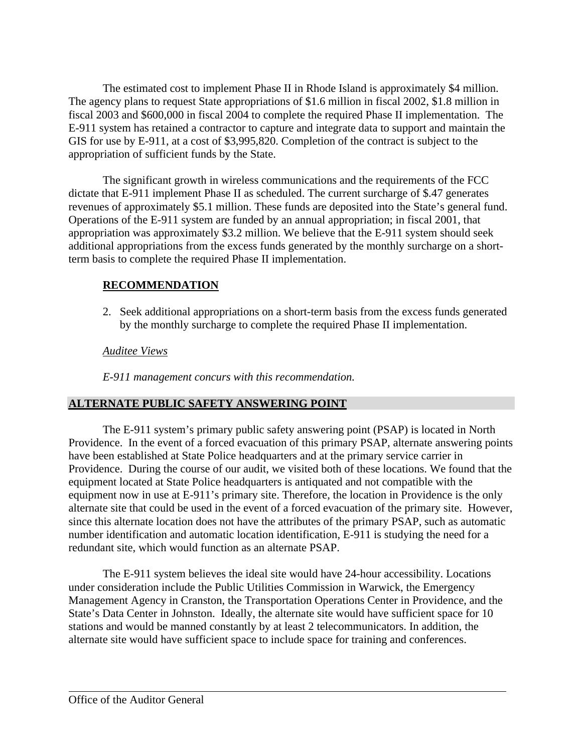The estimated cost to implement Phase II in Rhode Island is approximately \$4 million. The agency plans to request State appropriations of \$1.6 million in fiscal 2002, \$1.8 million in fiscal 2003 and \$600,000 in fiscal 2004 to complete the required Phase II implementation. The E-911 system has retained a contractor to capture and integrate data to support and maintain the GIS for use by E-911, at a cost of \$3,995,820. Completion of the contract is subject to the appropriation of sufficient funds by the State.

The significant growth in wireless communications and the requirements of the FCC dictate that E-911 implement Phase II as scheduled. The current surcharge of \$.47 generates revenues of approximately \$5.1 million. These funds are deposited into the State's general fund. Operations of the E-911 system are funded by an annual appropriation; in fiscal 2001, that appropriation was approximately \$3.2 million. We believe that the E-911 system should seek additional appropriations from the excess funds generated by the monthly surcharge on a shortterm basis to complete the required Phase II implementation.

## **RECOMMENDATION**

2. Seek additional appropriations on a short-term basis from the excess funds generated by the monthly surcharge to complete the required Phase II implementation.

## *Auditee Views*

*E-911 management concurs with this recommendation.*

## **ALTERNATE PUBLIC SAFETY ANSWERING POINT**

The E-911 system's primary public safety answering point (PSAP) is located in North Providence. In the event of a forced evacuation of this primary PSAP, alternate answering points have been established at State Police headquarters and at the primary service carrier in Providence. During the course of our audit, we visited both of these locations. We found that the equipment located at State Police headquarters is antiquated and not compatible with the equipment now in use at E-911's primary site. Therefore, the location in Providence is the only alternate site that could be used in the event of a forced evacuation of the primary site. However, since this alternate location does not have the attributes of the primary PSAP, such as automatic number identification and automatic location identification, E-911 is studying the need for a redundant site, which would function as an alternate PSAP.

The E-911 system believes the ideal site would have 24-hour accessibility. Locations under consideration include the Public Utilities Commission in Warwick, the Emergency Management Agency in Cranston, the Transportation Operations Center in Providence, and the State's Data Center in Johnston. Ideally, the alternate site would have sufficient space for 10 stations and would be manned constantly by at least 2 telecommunicators. In addition, the alternate site would have sufficient space to include space for training and conferences.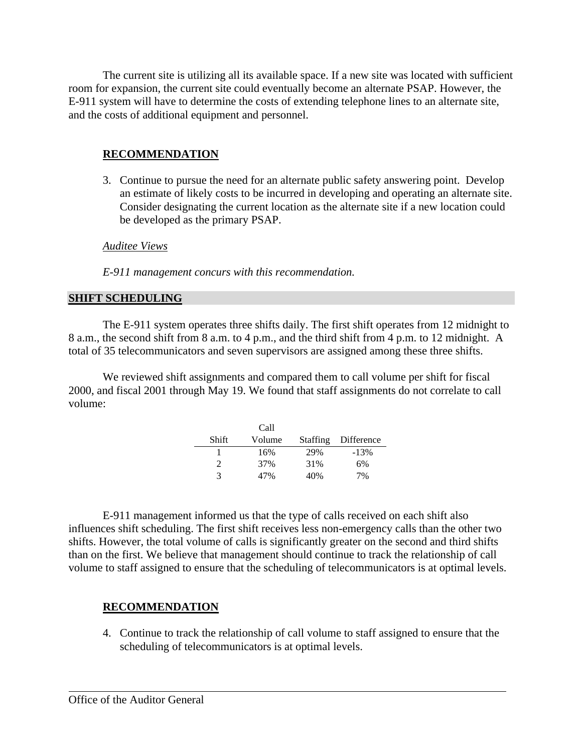The current site is utilizing all its available space. If a new site was located with sufficient room for expansion, the current site could eventually become an alternate PSAP. However, the E-911 system will have to determine the costs of extending telephone lines to an alternate site, and the costs of additional equipment and personnel.

#### **RECOMMENDATION**

3. Continue to pursue the need for an alternate public safety answering point. Develop an estimate of likely costs to be incurred in developing and operating an alternate site. Consider designating the current location as the alternate site if a new location could be developed as the primary PSAP.

*Auditee Views*

*E-911 management concurs with this recommendation.*

#### **SHIFT SCHEDULING**

The E-911 system operates three shifts daily. The first shift operates from 12 midnight to 8 a.m., the second shift from 8 a.m. to 4 p.m., and the third shift from 4 p.m. to 12 midnight. A total of 35 telecommunicators and seven supervisors are assigned among these three shifts.

We reviewed shift assignments and compared them to call volume per shift for fiscal 2000, and fiscal 2001 through May 19. We found that staff assignments do not correlate to call volume:

|       | Call   |                 |            |
|-------|--------|-----------------|------------|
| Shift | Volume | <b>Staffing</b> | Difference |
|       | 16%    | 29%             | $-13%$     |
| 2.    | 37%    | 31%             | 6%         |
| 3     | 47%    | 40%             | 7%         |

E-911 management informed us that the type of calls received on each shift also influences shift scheduling. The first shift receives less non-emergency calls than the other two shifts. However, the total volume of calls is significantly greater on the second and third shifts than on the first. We believe that management should continue to track the relationship of call volume to staff assigned to ensure that the scheduling of telecommunicators is at optimal levels.

#### **RECOMMENDATION**

4. Continue to track the relationship of call volume to staff assigned to ensure that the scheduling of telecommunicators is at optimal levels.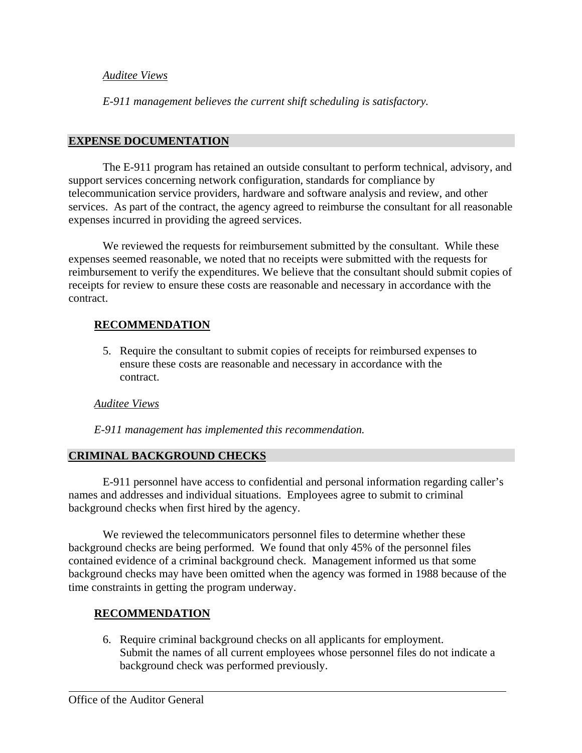#### *Auditee Views*

*E-911 management believes the current shift scheduling is satisfactory.*

#### **EXPENSE DOCUMENTATION**

The E-911 program has retained an outside consultant to perform technical, advisory, and support services concerning network configuration, standards for compliance by telecommunication service providers, hardware and software analysis and review, and other services. As part of the contract, the agency agreed to reimburse the consultant for all reasonable expenses incurred in providing the agreed services.

We reviewed the requests for reimbursement submitted by the consultant. While these expenses seemed reasonable, we noted that no receipts were submitted with the requests for reimbursement to verify the expenditures. We believe that the consultant should submit copies of receipts for review to ensure these costs are reasonable and necessary in accordance with the contract.

#### **RECOMMENDATION**

5. Require the consultant to submit copies of receipts for reimbursed expenses to ensure these costs are reasonable and necessary in accordance with the contract.

#### *Auditee Views*

*E-911 management has implemented this recommendation.*

#### **CRIMINAL BACKGROUND CHECKS**

E-911 personnel have access to confidential and personal information regarding caller's names and addresses and individual situations. Employees agree to submit to criminal background checks when first hired by the agency.

We reviewed the telecommunicators personnel files to determine whether these background checks are being performed. We found that only 45% of the personnel files contained evidence of a criminal background check. Management informed us that some background checks may have been omitted when the agency was formed in 1988 because of the time constraints in getting the program underway.

#### **RECOMMENDATION**

6. Require criminal background checks on all applicants for employment. Submit the names of all current employees whose personnel files do not indicate a background check was performed previously.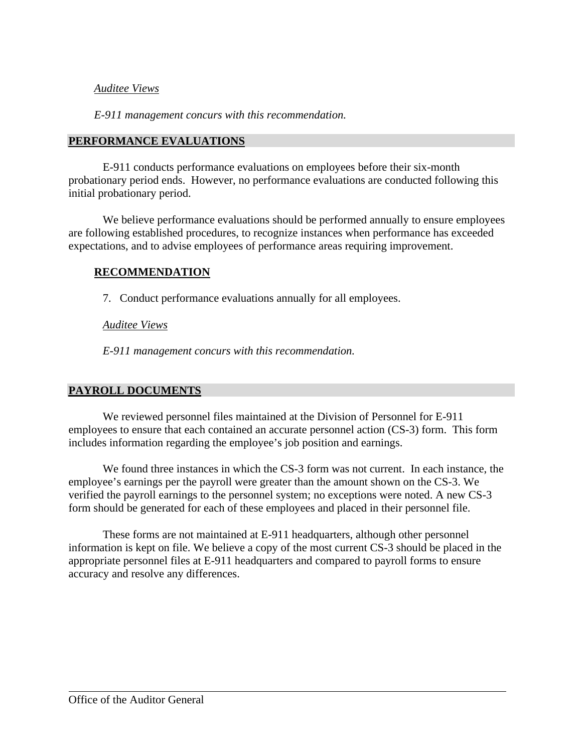#### *Auditee Views*

*E-911 management concurs with this recommendation.*

#### **PERFORMANCE EVALUATIONS**

E-911 conducts performance evaluations on employees before their six-month probationary period ends. However, no performance evaluations are conducted following this initial probationary period.

We believe performance evaluations should be performed annually to ensure employees are following established procedures, to recognize instances when performance has exceeded expectations, and to advise employees of performance areas requiring improvement.

#### **RECOMMENDATION**

7. Conduct performance evaluations annually for all employees.

#### *Auditee Views*

*E-911 management concurs with this recommendation.*

#### **PAYROLL DOCUMENTS**

We reviewed personnel files maintained at the Division of Personnel for E-911 employees to ensure that each contained an accurate personnel action (CS-3) form. This form includes information regarding the employee's job position and earnings.

We found three instances in which the CS-3 form was not current. In each instance, the employee's earnings per the payroll were greater than the amount shown on the CS-3. We verified the payroll earnings to the personnel system; no exceptions were noted. A new CS-3 form should be generated for each of these employees and placed in their personnel file.

These forms are not maintained at E-911 headquarters, although other personnel information is kept on file. We believe a copy of the most current CS-3 should be placed in the appropriate personnel files at E-911 headquarters and compared to payroll forms to ensure accuracy and resolve any differences.